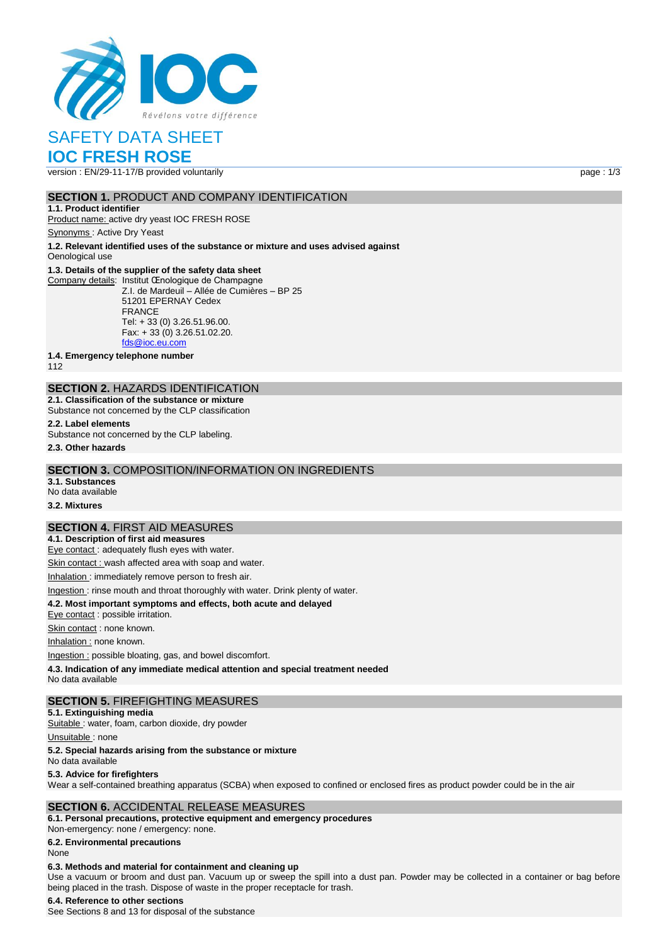

# SAFETY DATA SHEET

# **IOC FRESH ROSE**

version : EN/29-11-17/B provided voluntarily page : 1/3

### **SECTION 1.** PRODUCT AND COMPANY IDENTIFICATION

**1.1. Product identifier** Product name: active dry yeast IOC FRESH ROSE

Synonyms : Active Dry Yeast

**1.2. Relevant identified uses of the substance or mixture and uses advised against**

# Oenological use

# **1.3. Details of the supplier of the safety data sheet**

Company details: Institut Œnologique de Champagne Z.I. de Mardeuil – Allée de Cumières – BP 25 51201 EPERNAY Cedex FRANCE Tel: + 33 (0) 3.26.51.96.00. Fax: + 33 (0) 3.26.51.02.20. [fds@ioc.eu.com](mailto:fds@ioc.eu.com)

**1.4. Emergency telephone number**

112

# **SECTION 2.** HAZARDS IDENTIFICATION

**2.1. Classification of the substance or mixture** Substance not concerned by the CLP classification

**2.2. Label elements**

Substance not concerned by the CLP labeling.

**2.3. Other hazards**

### **SECTION 3.** COMPOSITION/INFORMATION ON INGREDIENTS

**3.1. Substances** No data available

**3.2. Mixtures**

## **SECTION 4.** FIRST AID MEASURES

**4.1. Description of first aid measures**

Eye contact : adequately flush eyes with water.

Skin contact : wash affected area with soap and water.

Inhalation : immediately remove person to fresh air.

#### Ingestion : rinse mouth and throat thoroughly with water. Drink plenty of water.

**4.2. Most important symptoms and effects, both acute and delayed**

Eye contact : possible irritation.

Skin contact : none known.

Inhalation : none known.

Ingestion : possible bloating, gas, and bowel discomfort.

**4.3. Indication of any immediate medical attention and special treatment needed**

No data available

#### **SECTION 5.** FIREFIGHTING MEASURES

**5.1. Extinguishing media**

Suitable : water, foam, carbon dioxide, dry powder

Unsuitable: none

#### **5.2. Special hazards arising from the substance or mixture**

No data available

#### **5.3. Advice for firefighters**

Wear a self-contained breathing apparatus (SCBA) when exposed to confined or enclosed fires as product powder could be in the air

#### **SECTION 6.** ACCIDENTAL RELEASE MEASURES

**6.1. Personal precautions, protective equipment and emergency procedures** Non‐emergency: none / emergency: none.

**6.2. Environmental precautions**

## None

## **6.3. Methods and material for containment and cleaning up**

Use a vacuum or broom and dust pan. Vacuum up or sweep the spill into a dust pan. Powder may be collected in a container or bag before being placed in the trash. Dispose of waste in the proper receptacle for trash.

## **6.4. Reference to other sections**

See Sections 8 and 13 for disposal of the substance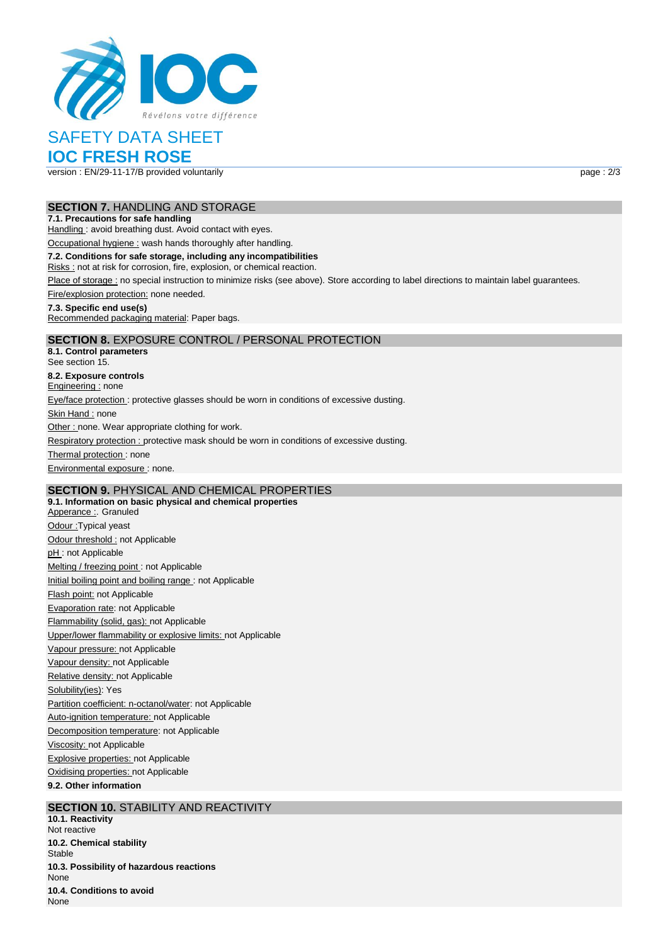

# SAFETY DATA SHEET

# **IOC FRESH ROSE**

version : EN/29-11-17/B provided voluntarily page : 2/3

### **SECTION 7.** HANDLING AND STORAGE

#### **7.1. Precautions for safe handling**

Handling : avoid breathing dust. Avoid contact with eyes.

Occupational hygiene : wash hands thoroughly after handling.

#### **7.2. Conditions for safe storage, including any incompatibilities**

Risks : not at risk for corrosion, fire, explosion, or chemical reaction.

Place of storage : no special instruction to minimize risks (see above). Store according to label directions to maintain label guarantees.

Fire/explosion protection: none needed.

#### **7.3. Specific end use(s)**

Recommended packaging material: Paper bags.

## **SECTION 8.** EXPOSURE CONTROL / PERSONAL PROTECTION

**8.1. Control parameters** See section 15. **8.2. Exposure controls** Engineering : none Eye/face protection : protective glasses should be worn in conditions of excessive dusting. Skin Hand : none Other : none. Wear appropriate clothing for work. Respiratory protection : protective mask should be worn in conditions of excessive dusting. Thermal protection: none Environmental exposure : none.

# **SECTION 9.** PHYSICAL AND CHEMICAL PROPERTIES

**9.1. Information on basic physical and chemical properties** Apperance : Granuled Odour :Typical yeast Odour threshold : not Applicable pH: not Applicable Melting / freezing point : not Applicable Initial boiling point and boiling range : not Applicable Flash point: not Applicable Evaporation rate: not Applicable Flammability (solid, gas): not Applicable Upper/lower flammability or explosive limits: not Applicable Vapour pressure: not Applicable Vapour density: not Applicable Relative density: not Applicable Solubility(ies): Yes Partition coefficient: n-octanol/water: not Applicable Auto-ignition temperature: not Applicable Decomposition temperature: not Applicable Viscosity: not Applicable Explosive properties: not Applicable Oxidising properties: not Applicable **9.2. Other information**

## **SECTION 10. STABILITY AND REACTIVITY**

**10.1. Reactivity** Not reactive **10.2. Chemical stability** Stable **10.3. Possibility of hazardous reactions** None **10.4. Conditions to avoid** None